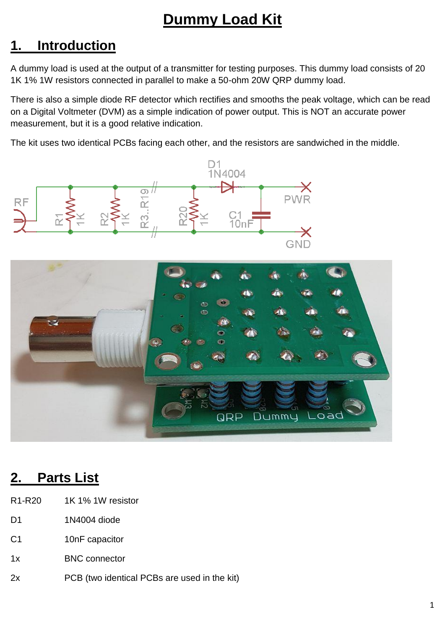# **Dummy Load Kit**

# **1. Introduction**

A dummy load is used at the output of a transmitter for testing purposes. This dummy load consists of 20 1K 1% 1W resistors connected in parallel to make a 50-ohm 20W QRP dummy load.

There is also a simple diode RF detector which rectifies and smooths the peak voltage, which can be read on a Digital Voltmeter (DVM) as a simple indication of power output. This is NOT an accurate power measurement, but it is a good relative indication.

The kit uses two identical PCBs facing each other, and the resistors are sandwiched in the middle.





## **2. Parts List**

- R1-R20 1K 1% 1W resistor
- D1 1N4004 diode
- C1 10nF capacitor
- 1x BNC connector
- 2x PCB (two identical PCBs are used in the kit)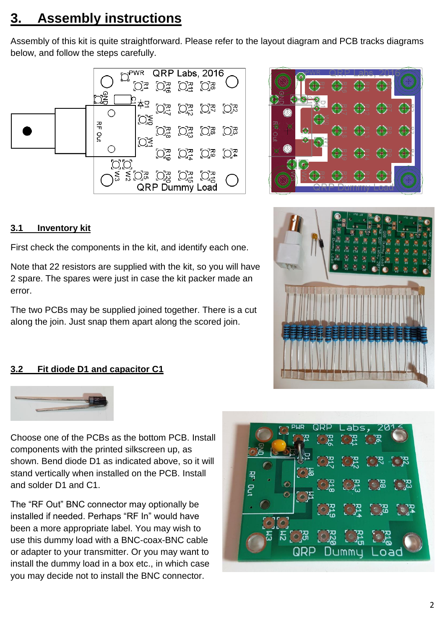# **3. Assembly instructions**

Assembly of this kit is quite straightforward. Please refer to the layout diagram and PCB tracks diagrams below, and follow the steps carefully.





## **3.1 Inventory kit**

First check the components in the kit, and identify each one.

Note that 22 resistors are supplied with the kit, so you will have 2 spare. The spares were just in case the kit packer made an error.

The two PCBs may be supplied joined together. There is a cut along the join. Just snap them apart along the scored join.

## **3.2 Fit diode D1 and capacitor C1**





Choose one of the PCBs as the bottom PCB. Install components with the printed silkscreen up, as shown. Bend diode D1 as indicated above, so it will stand vertically when installed on the PCB. Install and solder D1 and C1.

The "RF Out" BNC connector may optionally be installed if needed. Perhaps "RF In" would have been a more appropriate label. You may wish to use this dummy load with a BNC-coax-BNC cable or adapter to your transmitter. Or you may want to install the dummy load in a box etc., in which case you may decide not to install the BNC connector.

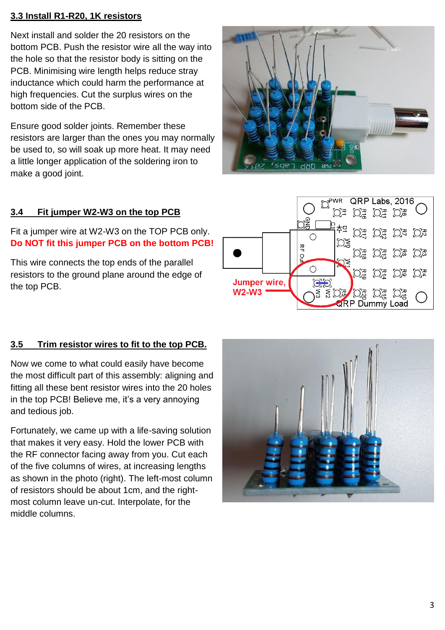## **3.3 Install R1-R20, 1K resistors**

Next install and solder the 20 resistors on the bottom PCB. Push the resistor wire all the way into the hole so that the resistor body is sitting on the PCB. Minimising wire length helps reduce stray inductance which could harm the performance at high frequencies. Cut the surplus wires on the bottom side of the PCB.

Ensure good solder joints. Remember these resistors are larger than the ones you may normally be used to, so will soak up more heat. It may need a little longer application of the soldering iron to make a good joint.

## **3.4 Fit jumper W2-W3 on the top PCB**

Fit a jumper wire at W2-W3 on the TOP PCB only. **Do NOT fit this jumper PCB on the bottom PCB!**

This wire connects the top ends of the parallel resistors to the ground plane around the edge of the top PCB.

## **3.5 Trim resistor wires to fit to the top PCB.**

Now we come to what could easily have become the most difficult part of this assembly: aligning and fitting all these bent resistor wires into the 20 holes in the top PCB! Believe me, it's a very annoying and tedious job.

Fortunately, we came up with a life-saving solution that makes it very easy. Hold the lower PCB with the RF connector facing away from you. Cut each of the five columns of wires, at increasing lengths as shown in the photo (right). The left-most column of resistors should be about 1cm, and the rightmost column leave un-cut. Interpolate, for the middle columns.





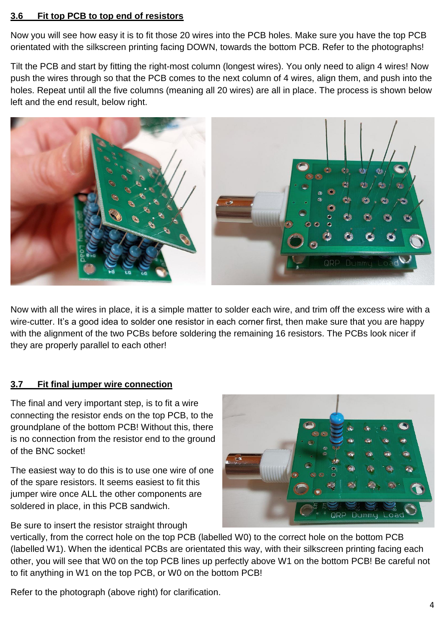#### **3.6 Fit top PCB to top end of resistors**

Now you will see how easy it is to fit those 20 wires into the PCB holes. Make sure you have the top PCB orientated with the silkscreen printing facing DOWN, towards the bottom PCB. Refer to the photographs!

Tilt the PCB and start by fitting the right-most column (longest wires). You only need to align 4 wires! Now push the wires through so that the PCB comes to the next column of 4 wires, align them, and push into the holes. Repeat until all the five columns (meaning all 20 wires) are all in place. The process is shown below left and the end result, below right.



Now with all the wires in place, it is a simple matter to solder each wire, and trim off the excess wire with a wire-cutter. It's a good idea to solder one resistor in each corner first, then make sure that you are happy with the alignment of the two PCBs before soldering the remaining 16 resistors. The PCBs look nicer if they are properly parallel to each other!

### **3.7 Fit final jumper wire connection**

The final and very important step, is to fit a wire connecting the resistor ends on the top PCB, to the groundplane of the bottom PCB! Without this, there is no connection from the resistor end to the ground of the BNC socket!

The easiest way to do this is to use one wire of one of the spare resistors. It seems easiest to fit this jumper wire once ALL the other components are soldered in place, in this PCB sandwich.

Be sure to insert the resistor straight through



vertically, from the correct hole on the top PCB (labelled W0) to the correct hole on the bottom PCB (labelled W1). When the identical PCBs are orientated this way, with their silkscreen printing facing each other, you will see that W0 on the top PCB lines up perfectly above W1 on the bottom PCB! Be careful not to fit anything in W1 on the top PCB, or W0 on the bottom PCB!

Refer to the photograph (above right) for clarification.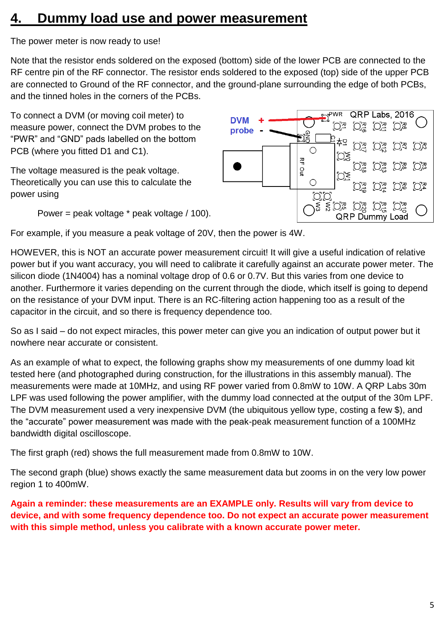# **4. Dummy load use and power measurement**

The power meter is now ready to use!

Note that the resistor ends soldered on the exposed (bottom) side of the lower PCB are connected to the RF centre pin of the RF connector. The resistor ends soldered to the exposed (top) side of the upper PCB are connected to Ground of the RF connector, and the ground-plane surrounding the edge of both PCBs, and the tinned holes in the corners of the PCBs.

To connect a DVM (or moving coil meter) to measure power, connect the DVM probes to the "PWR" and "GND" pads labelled on the bottom PCB (where you fitted D1 and C1).

The voltage measured is the peak voltage. Theoretically you can use this to calculate the power using

Power = peak voltage \* peak voltage / 100).



For example, if you measure a peak voltage of 20V, then the power is 4W.

HOWEVER, this is NOT an accurate power measurement circuit! It will give a useful indication of relative power but if you want accuracy, you will need to calibrate it carefully against an accurate power meter. The silicon diode (1N4004) has a nominal voltage drop of 0.6 or 0.7V. But this varies from one device to another. Furthermore it varies depending on the current through the diode, which itself is going to depend on the resistance of your DVM input. There is an RC-filtering action happening too as a result of the capacitor in the circuit, and so there is frequency dependence too.

So as I said – do not expect miracles, this power meter can give you an indication of output power but it nowhere near accurate or consistent.

As an example of what to expect, the following graphs show my measurements of one dummy load kit tested here (and photographed during construction, for the illustrations in this assembly manual). The measurements were made at 10MHz, and using RF power varied from 0.8mW to 10W. A QRP Labs 30m LPF was used following the power amplifier, with the dummy load connected at the output of the 30m LPF. The DVM measurement used a very inexpensive DVM (the ubiquitous yellow type, costing a few \$), and the "accurate" power measurement was made with the peak-peak measurement function of a 100MHz bandwidth digital oscilloscope.

The first graph (red) shows the full measurement made from 0.8mW to 10W.

The second graph (blue) shows exactly the same measurement data but zooms in on the very low power region 1 to 400mW.

**Again a reminder: these measurements are an EXAMPLE only. Results will vary from device to device, and with some frequency dependence too. Do not expect an accurate power measurement with this simple method, unless you calibrate with a known accurate power meter.**